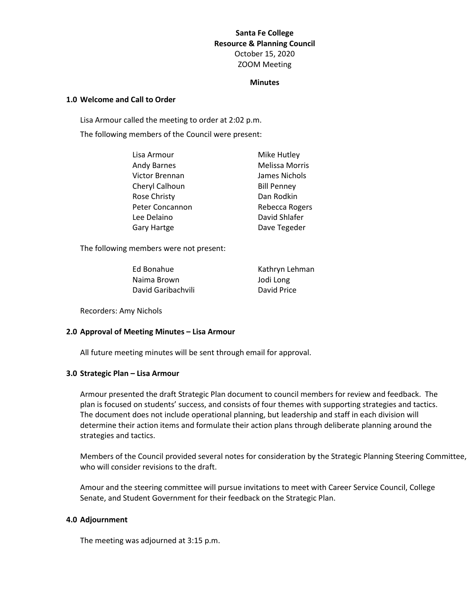# **Santa Fe College Resource & Planning Council** October 15, 2020 ZOOM Meeting

#### **Minutes**

### **1.0 Welcome and Call to Order**

Lisa Armour called the meeting to order at 2:02 p.m. The following members of the Council were present:

| Lisa Armour     | Mike Hutley        |
|-----------------|--------------------|
| Andy Barnes     | Melissa Morris     |
| Victor Brennan  | James Nichols      |
| Cheryl Calhoun  | <b>Bill Penney</b> |
| Rose Christy    | Dan Rodkin         |
| Peter Concannon | Rebecca Rogers     |
| Lee Delaino     | David Shlafer      |
| Gary Hartge     | Dave Tegeder       |
|                 |                    |

The following members were not present:

| Ed Bonahue         | Kathryn Lehman |
|--------------------|----------------|
| Naima Brown        | Jodi Long      |
| David Garibachvili | David Price    |

Recorders: Amy Nichols

### **2.0 Approval of Meeting Minutes – Lisa Armour**

All future meeting minutes will be sent through email for approval.

### **3.0 Strategic Plan – Lisa Armour**

Armour presented the draft Strategic Plan document to council members for review and feedback. The plan is focused on students' success, and consists of four themes with supporting strategies and tactics. The document does not include operational planning, but leadership and staff in each division will determine their action items and formulate their action plans through deliberate planning around the strategies and tactics.

Members of the Council provided several notes for consideration by the Strategic Planning Steering Committee, who will consider revisions to the draft.

Amour and the steering committee will pursue invitations to meet with Career Service Council, College Senate, and Student Government for their feedback on the Strategic Plan.

## **4.0 Adjournment**

The meeting was adjourned at 3:15 p.m.